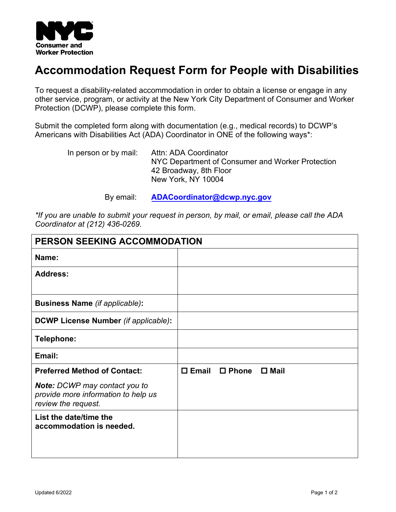

## **Accommodation Request Form for People with Disabilities**

To request a disability-related accommodation in order to obtain a license or engage in any other service, program, or activity at the New York City Department of Consumer and Worker Protection (DCWP), please complete this form.

Submit the completed form along with documentation (e.g., medical records) to DCWP's Americans with Disabilities Act (ADA) Coordinator in ONE of the following ways\*:

| In person or by mail: | Attn: ADA Coordinator<br>NYC Department of Consumer and Worker Protection<br>42 Broadway, 8th Floor |
|-----------------------|-----------------------------------------------------------------------------------------------------|
|                       | New York, NY 10004                                                                                  |

By email: **[ADACoordinator@dcwp.nyc.gov](mailto:ADACoordinator@dcwp.nyc.gov)**

*\*If you are unable to submit your request in person, by mail, or email, please call the ADA Coordinator at (212) 436-0269.*

| PERSON SEEKING ACCOMMODATION                                                                       |                 |                 |                |
|----------------------------------------------------------------------------------------------------|-----------------|-----------------|----------------|
| Name:                                                                                              |                 |                 |                |
| <b>Address:</b>                                                                                    |                 |                 |                |
| <b>Business Name (if applicable):</b>                                                              |                 |                 |                |
| DCWP License Number (if applicable):                                                               |                 |                 |                |
| Telephone:                                                                                         |                 |                 |                |
| Email:                                                                                             |                 |                 |                |
| <b>Preferred Method of Contact:</b>                                                                | $\square$ Email | $\square$ Phone | $\square$ Mail |
| <b>Note:</b> DCWP may contact you to<br>provide more information to help us<br>review the request. |                 |                 |                |
| List the date/time the<br>accommodation is needed.                                                 |                 |                 |                |